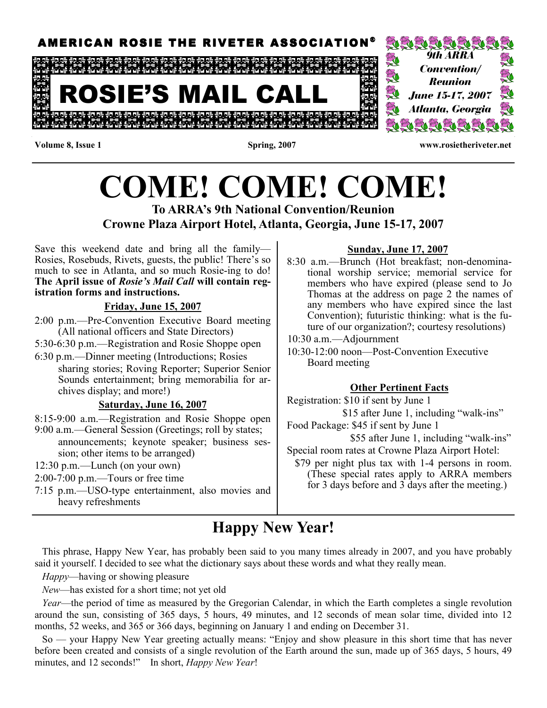

#### Volume 8, Issue 1 Spring, 2007 www.rosietheriveter.net

# COME! COME! COME! To ARRA's 9th National Convention/Reunion

# Crowne Plaza Airport Hotel, Atlanta, Georgia, June 15-17, 2007

Save this weekend date and bring all the family— Rosies, Rosebuds, Rivets, guests, the public! There's so much to see in Atlanta, and so much Rosie-ing to do! The April issue of Rosie's Mail Call will contain registration forms and instructions.

#### Friday, June 15, 2007

- 2:00 p.m.—Pre-Convention Executive Board meeting (All national officers and State Directors)
- 5:30-6:30 p.m.—Registration and Rosie Shoppe open
- 6:30 p.m.—Dinner meeting (Introductions; Rosies sharing stories; Roving Reporter; Superior Senior Sounds entertainment; bring memorabilia for archives display; and more!)

#### Saturday, June 16, 2007

- 8:15-9:00 a.m.—Registration and Rosie Shoppe open
- 9:00 a.m.—General Session (Greetings; roll by states; announcements; keynote speaker; business session; other items to be arranged)
- 12:30 p.m.—Lunch (on your own)

#### 2:00-7:00 p.m.—Tours or free time

7:15 p.m.—USO-type entertainment, also movies and heavy refreshments

#### Sunday, June 17, 2007

8:30 a.m.—Brunch (Hot breakfast; non-denominational worship service; memorial service for members who have expired (please send to Jo Thomas at the address on page 2 the names of any members who have expired since the last Convention); futuristic thinking: what is the future of our organization?; courtesy resolutions)

10:30 a.m.—Adjournment

10:30-12:00 noon—Post-Convention Executive Board meeting

#### Other Pertinent Facts

Registration: \$10 if sent by June 1 \$15 after June 1, including "walk-ins" Food Package: \$45 if sent by June 1

\$55 after June 1, including "walk-ins"

Special room rates at Crowne Plaza Airport Hotel:

 \$79 per night plus tax with 1-4 persons in room. (These special rates apply to ARRA members for 3 days before and 3 days after the meeting.)

# Happy New Year!

 This phrase, Happy New Year, has probably been said to you many times already in 2007, and you have probably said it yourself. I decided to see what the dictionary says about these words and what they really mean.

Happy—having or showing pleasure

New—has existed for a short time; not yet old

Year—the period of time as measured by the Gregorian Calendar, in which the Earth completes a single revolution around the sun, consisting of 365 days, 5 hours, 49 minutes, and 12 seconds of mean solar time, divided into 12 months, 52 weeks, and 365 or 366 days, beginning on January 1 and ending on December 31.

 So — your Happy New Year greeting actually means: "Enjoy and show pleasure in this short time that has never before been created and consists of a single revolution of the Earth around the sun, made up of 365 days, 5 hours, 49 minutes, and 12 seconds!" In short, Happy New Year!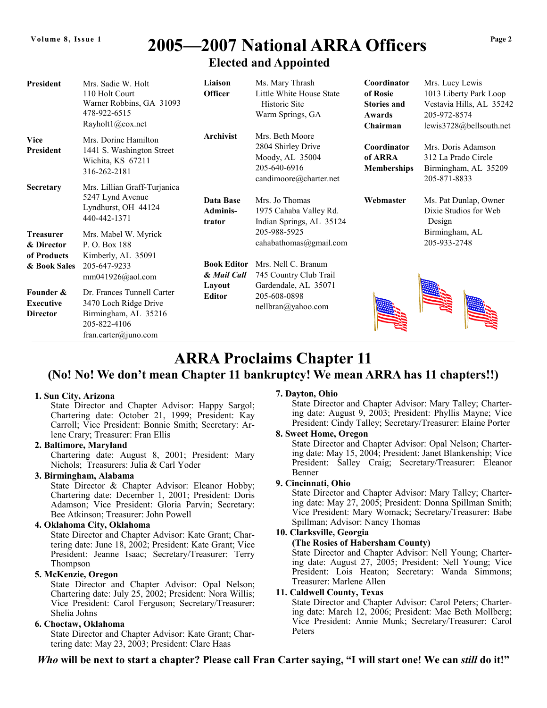#### 2005-2007 National ARRA Officers Elected and Appointed Elected and Appointed Volume 8, Issue 1 2005—2007 National ARRA Officers  $^{Page 2}$

| <b>President</b>                                                                | Mrs. Sadie W. Holt<br>110 Holt Court<br>Warner Robbins, GA 31093<br>478-922-6515<br>Rayholt1@cox.net                                                                             | Liaison<br><b>Officer</b>                                    | Ms. Mary Thrash<br>Little White House State<br>Historic Site<br>Warm Springs, GA                               | Coordinator<br>of Rosie<br><b>Stories and</b><br>Awards<br>Chairman | Mrs. Lucy Lewis<br>1013 Liberty Park Loop<br>Vestavia Hills, AL 35242<br>205-972-8574<br>lewis3728@bellsouth.net |
|---------------------------------------------------------------------------------|----------------------------------------------------------------------------------------------------------------------------------------------------------------------------------|--------------------------------------------------------------|----------------------------------------------------------------------------------------------------------------|---------------------------------------------------------------------|------------------------------------------------------------------------------------------------------------------|
| <b>Vice</b><br><b>President</b><br><b>Secretary</b>                             | Mrs. Dorine Hamilton<br>1441 S. Washington Street<br>Wichita, KS 67211<br>316-262-2181<br>Mrs. Lillian Graff-Turjanica                                                           | Archivist                                                    | Mrs. Beth Moore<br>2804 Shirley Drive<br>Moody, AL 35004<br>205-640-6916<br>candimoore@charter.net             | Coordinator<br>of ARRA<br><b>Memberships</b>                        | Mrs. Doris Adamson<br>312 La Prado Circle<br>Birmingham, AL 35209<br>205-871-8833                                |
| <b>Treasurer</b><br>& Director                                                  | 5247 Lynd Avenue<br>Lyndhurst, OH 44124<br>440-442-1371<br>Mrs. Mabel W. Myrick<br>P. O. Box 188                                                                                 | Data Base<br><b>Adminis-</b><br>trator                       | Mrs. Jo Thomas<br>1975 Cahaba Valley Rd.<br>Indian Springs, AL 35124<br>205-988-5925<br>cahabathomas@gmail.com | Webmaster                                                           | Ms. Pat Dunlap, Owner<br>Dixie Studios for Web<br>Design<br>Birmingham, AL<br>205-933-2748                       |
| of Products<br>& Book Sales<br>Founder &<br><b>Executive</b><br><b>Director</b> | Kimberly, AL 35091<br>205-647-9233<br>$mm041926@a$ ol.com<br>Dr. Frances Tunnell Carter<br>3470 Loch Ridge Drive<br>Birmingham, AL 35216<br>205-822-4106<br>fran.carter@juno.com | <b>Book Editor</b><br>& Mail Call<br>Layout<br><b>Editor</b> | Mrs. Nell C. Branum<br>745 Country Club Trail<br>Gardendale, AL 35071<br>205-608-0898<br>nellbran@yahoo.com    |                                                                     |                                                                                                                  |

# ARRA Proclaims Chapter 11

### (No! No! We don't mean Chapter 11 bankruptcy! We mean ARRA has 11 chapters!!)

#### 1. Sun City, Arizona

 State Director and Chapter Advisor: Happy Sargol; Chartering date: October 21, 1999; President: Kay Carroll; Vice President: Bonnie Smith; Secretary: Arlene Crary; Treasurer: Fran Ellis

#### 2. Baltimore, Maryland

 Chartering date: August 8, 2001; President: Mary Nichols; Treasurers: Julia & Carl Yoder

#### 3. Birmingham, Alabama

 State Director & Chapter Advisor: Eleanor Hobby; Chartering date: December 1, 2001; President: Doris Adamson; Vice President: Gloria Parvin; Secretary: Bee Atkinson; Treasurer: John Powell

#### 4. Oklahoma City, Oklahoma

 State Director and Chapter Advisor: Kate Grant; Chartering date: June 18, 2002; President: Kate Grant; Vice President: Jeanne Isaac; Secretary/Treasurer: Terry Thompson

#### 5. McKenzie, Oregon

 State Director and Chapter Advisor: Opal Nelson; Chartering date: July 25, 2002; President: Nora Willis; Vice President: Carol Ferguson; Secretary/Treasurer: Shelia Johns

#### 6. Choctaw, Oklahoma

 State Director and Chapter Advisor: Kate Grant; Chartering date: May 23, 2003; President: Clare Haas

#### 7. Dayton, Ohio

 State Director and Chapter Advisor: Mary Talley; Chartering date: August 9, 2003; President: Phyllis Mayne; Vice President: Cindy Talley; Secretary/Treasurer: Elaine Porter

#### 8. Sweet Home, Oregon

 State Director and Chapter Advisor: Opal Nelson; Chartering date: May 15, 2004; President: Janet Blankenship; Vice President: Salley Craig; Secretary/Treasurer: Eleanor Benner

#### 9. Cincinnati, Ohio

 State Director and Chapter Advisor: Mary Talley; Chartering date: May 27, 2005; President: Donna Spillman Smith; Vice President: Mary Womack; Secretary/Treasurer: Babe Spillman; Advisor: Nancy Thomas

#### 10. Clarksville, Georgia

#### (The Rosies of Habersham County)

 State Director and Chapter Advisor: Nell Young; Chartering date: August 27, 2005; President: Nell Young; Vice President: Lois Heaton; Secretary: Wanda Simmons; Treasurer: Marlene Allen

#### 11. Caldwell County, Texas

 State Director and Chapter Advisor: Carol Peters; Chartering date: March 12, 2006; President: Mae Beth Mollberg; Vice President: Annie Munk; Secretary/Treasurer: Carol Peters

Who will be next to start a chapter? Please call Fran Carter saying, "I will start one! We can still do it!"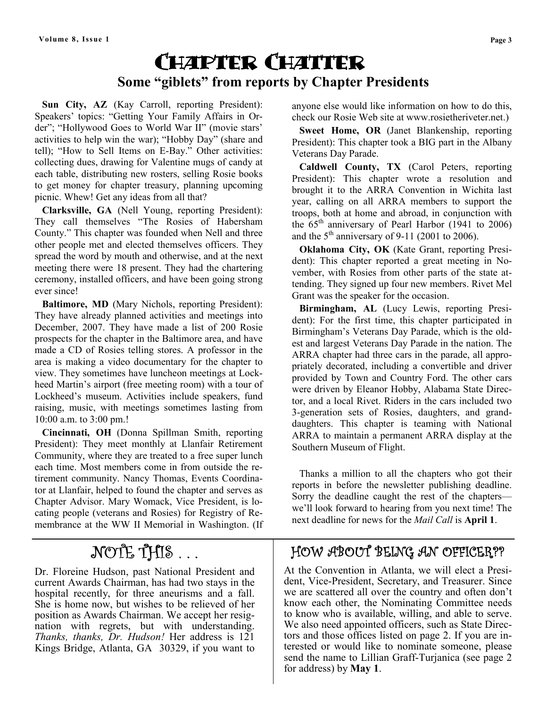# Chapter Chatter Some "giblets" from reports by Chapter Presidents

 Sun City, AZ (Kay Carroll, reporting President): Speakers' topics: "Getting Your Family Affairs in Order"; "Hollywood Goes to World War II" (movie stars' activities to help win the war); "Hobby Day" (share and tell); "How to Sell Items on E-Bay." Other activities: collecting dues, drawing for Valentine mugs of candy at each table, distributing new rosters, selling Rosie books to get money for chapter treasury, planning upcoming picnic. Whew! Get any ideas from all that?

 Clarksville, GA (Nell Young, reporting President): They call themselves "The Rosies of Habersham County." This chapter was founded when Nell and three other people met and elected themselves officers. They spread the word by mouth and otherwise, and at the next meeting there were 18 present. They had the chartering ceremony, installed officers, and have been going strong ever since!

 Baltimore, MD (Mary Nichols, reporting President): They have already planned activities and meetings into December, 2007. They have made a list of 200 Rosie prospects for the chapter in the Baltimore area, and have made a CD of Rosies telling stores. A professor in the area is making a video documentary for the chapter to view. They sometimes have luncheon meetings at Lockheed Martin's airport (free meeting room) with a tour of Lockheed's museum. Activities include speakers, fund raising, music, with meetings sometimes lasting from 10:00 a.m. to 3:00 pm.!

 Cincinnati, OH (Donna Spillman Smith, reporting President): They meet monthly at Llanfair Retirement Community, where they are treated to a free super lunch each time. Most members come in from outside the retirement community. Nancy Thomas, Events Coordinator at Llanfair, helped to found the chapter and serves as Chapter Advisor. Mary Womack, Vice President, is locating people (veterans and Rosies) for Registry of Remembrance at the WW II Memorial in Washington. (If

# NOTE THIS ...

Dr. Floreine Hudson, past National President and current Awards Chairman, has had two stays in the hospital recently, for three aneurisms and a fall. She is home now, but wishes to be relieved of her position as Awards Chairman. We accept her resignation with regrets, but with understanding. Thanks, thanks, Dr. Hudson! Her address is 121 Kings Bridge, Atlanta, GA 30329, if you want to

anyone else would like information on how to do this, check our Rosie Web site at www.rosietheriveter.net.)

 Sweet Home, OR (Janet Blankenship, reporting President): This chapter took a BIG part in the Albany Veterans Day Parade.

 Caldwell County, TX (Carol Peters, reporting President): This chapter wrote a resolution and brought it to the ARRA Convention in Wichita last year, calling on all ARRA members to support the troops, both at home and abroad, in conjunction with the  $65<sup>th</sup>$  anniversary of Pearl Harbor (1941 to 2006) and the  $5<sup>th</sup>$  anniversary of 9-11 (2001 to 2006).

 Oklahoma City, OK (Kate Grant, reporting President): This chapter reported a great meeting in November, with Rosies from other parts of the state attending. They signed up four new members. Rivet Mel Grant was the speaker for the occasion.

 Birmingham, AL (Lucy Lewis, reporting President): For the first time, this chapter participated in Birmingham's Veterans Day Parade, which is the oldest and largest Veterans Day Parade in the nation. The ARRA chapter had three cars in the parade, all appropriately decorated, including a convertible and driver provided by Town and Country Ford. The other cars were driven by Eleanor Hobby, Alabama State Director, and a local Rivet. Riders in the cars included two 3-generation sets of Rosies, daughters, and granddaughters. This chapter is teaming with National ARRA to maintain a permanent ARRA display at the Southern Museum of Flight.

 Thanks a million to all the chapters who got their reports in before the newsletter publishing deadline. Sorry the deadline caught the rest of the chapters we'll look forward to hearing from you next time! The next deadline for news for the Mail Call is April 1.

### HOW ABOUT BEING AN OFFICER??

At the Convention in Atlanta, we will elect a President, Vice-President, Secretary, and Treasurer. Since we are scattered all over the country and often don't know each other, the Nominating Committee needs to know who is available, willing, and able to serve. We also need appointed officers, such as State Directors and those offices listed on page 2. If you are interested or would like to nominate someone, please send the name to Lillian Graff-Turjanica (see page 2 for address) by May 1.